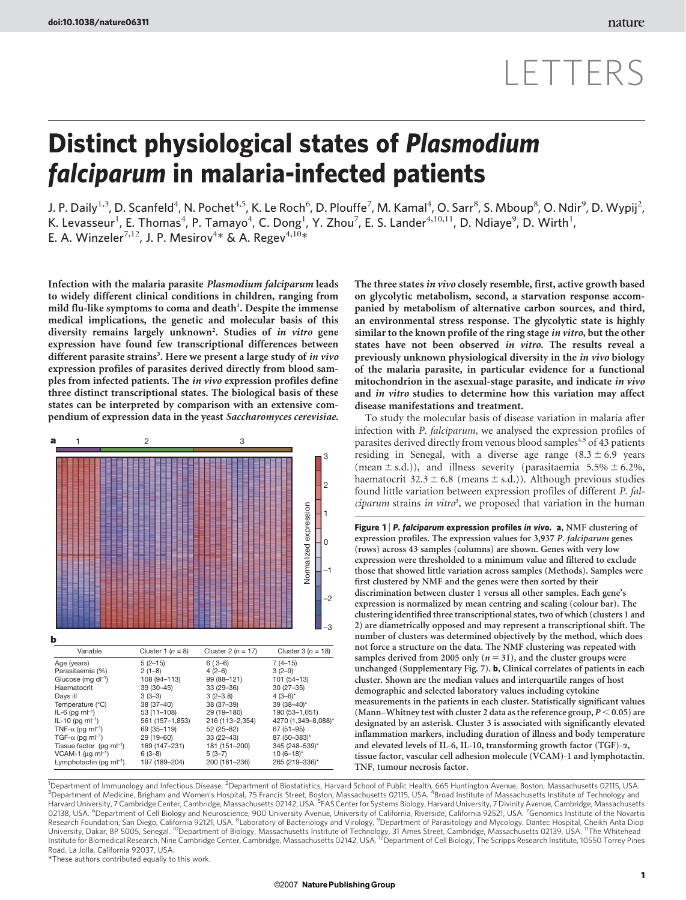# LETTERS

## Distinct physiological states of Plasmodium falciparum in malaria-infected patients

J. P. Daily $^{1,3}$ , D. Scanfeld $^4$ , N. Pochet $^{4,5}$ , K. Le Roch $^6$ , D. Plouffe $^7$ , M. Kamal $^4$ , O. Sarr $^8$ , S. Mboup $^8$ , O. Ndir $^9$ , D. Wypij $^2$ , K. Levasseur<sup>1</sup>, E. Thomas<sup>4</sup>, P. Tamayo<sup>4</sup>, C. Dong<sup>1</sup>, Y. Zhou<sup>7</sup>, E. S. Lander<sup>4,10,11</sup>, D. Ndiaye<sup>9</sup>, D. Wirth<sup>1</sup>, E. A. Winzeler<sup>7,12</sup>, J. P. Mesirov<sup>4\*</sup> & A. Regev<sup>4,10\*</sup>

Infection with the malaria parasite Plasmodium falciparum leads to widely different clinical conditions in children, ranging from mild flu-like symptoms to coma and death<sup>1</sup>. Despite the immense medical implications, the genetic and molecular basis of this diversity remains largely unknown<sup>2</sup>. Studies of in vitro gene expression have found few transcriptional differences between different parasite strains<sup>3</sup>. Here we present a large study of in vivo expression profiles of parasites derived directly from blood samples from infected patients. The in vivo expression profiles define three distinct transcriptional states. The biological basis of these states can be interpreted by comparison with an extensive compendium of expression data in the yeast Saccharomyces cerevisiae.



The three states in vivo closely resemble, first, active growth based on glycolytic metabolism, second, a starvation response accompanied by metabolism of alternative carbon sources, and third, an environmental stress response. The glycolytic state is highly similar to the known profile of the ring stage in vitro, but the other states have not been observed in vitro. The results reveal a previously unknown physiological diversity in the in vivo biology of the malaria parasite, in particular evidence for a functional mitochondrion in the asexual-stage parasite, and indicate in vivo and in vitro studies to determine how this variation may affect disease manifestations and treatment.

To study the molecular basis of disease variation in malaria after infection with P. falciparum, we analysed the expression profiles of parasites derived directly from venous blood samples<sup>4,5</sup> of 43 patients residing in Senegal, with a diverse age range  $(8.3 \pm 6.9)$  years (mean  $\pm$  s.d.)), and illness severity (parasitaemia 5.5%  $\pm$  6.2%, haematocrit  $32.3 \pm 6.8$  (means  $\pm$  s.d.)). Although previous studies found little variation between expression profiles of different P. fal $ciparum$  strains in vitro<sup>3</sup>, we proposed that variation in the human

Figure 1 | P. falciparum expression profiles in vivo.  $a$ , NMF clustering of expression profiles. The expression values for 3,937 P. falciparum genes (rows) across 43 samples (columns) are shown. Genes with very low expression were thresholded to a minimum value and filtered to exclude those that showed little variation across samples (Methods). Samples were first clustered by NMF and the genes were then sorted by their discrimination between cluster 1 versus all other samples. Each gene's expression is normalized by mean centring and scaling (colour bar). The clustering identified three transcriptional states, two of which (clusters 1 and 2) are diametrically opposed and may represent a transcriptional shift. The number of clusters was determined objectively by the method, which does not force a structure on the data. The NMF clustering was repeated with samples derived from 2005 only ( $n = 31$ ), and the cluster groups were unchanged (Supplementary Fig. 7). b, Clinical correlates of patients in each cluster. Shown are the median values and interquartile ranges of host demographic and selected laboratory values including cytokine measurements in the patients in each cluster. Statistically significant values (Mann–Whitney test with cluster 2 data as the reference group,  $P < 0.05$ ) are designated by an asterisk. Cluster 3 is associated with significantly elevated inflammation markers, including duration of illness and body temperature and elevated levels of IL-6, IL-10, transforming growth factor (TGF)-a, tissue factor, vascular cell adhesion molecule (VCAM)-1 and lymphotactin. TNF, tumour necrosis factor.

<sup>1</sup>Department of Immunology and Infectious Disease, <sup>2</sup>Department of Biostatistics, Harvard School of Public Health, 665 Huntington Avenue, Boston, Massachusetts 02115, USA<br><sup>3</sup>Department of Medicine, Brigham and Women's Ho Harvard University, 7 Cambridge Center, Cambridge, Massachusetts 02142, USA. <sup>5</sup>FAS Center for Systems Biology, Harvard University, 7 Divinity Avenue, Cambridge, Massachusetts 02138, USA. <sup>6</sup>Department of Cell Biology and Neuroscience, 900 University Avenue, University of California, Riverside, California 92521, USA. <sup>7</sup>Genomics Institute of the Novartis Research Foundation, San Diego, California 92121, USA. <sup>8</sup>Laboratory of Bacteriology and Virology, <sup>9</sup>Department of Parasitology and Mycology, Dantec Hospital, Cheikh Anta Diop University, Dakar, BP 5005, Senegal. <sup>10</sup>Department of Biology, Massachusetts Institute of Technology, 31 Ames Street, Cambridge, Massachusetts 02139, USA. <sup>11</sup>The Whitehead Institute for Biomedical Research, Nine Cambridge Center, Cambridge, Massachusetts 02142, USA. <sup>12</sup>Department of Cell Biology, The Scripps Research Institute, 10550 Torrey Pines Road, La Jolla, California 92037, USA.

*\**These authors contributed equally to this work.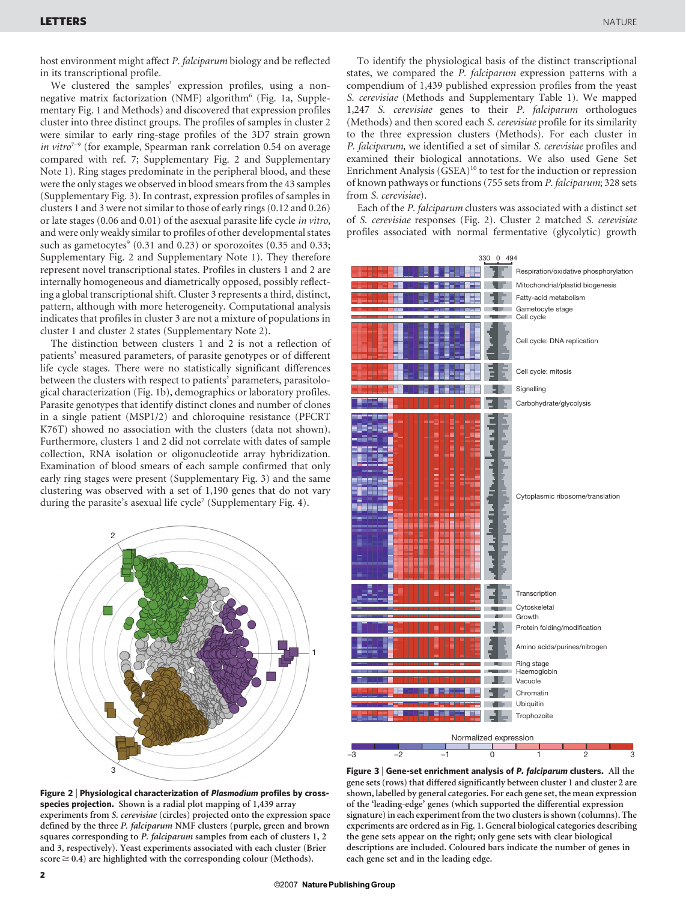host environment might affect P. falciparum biology and be reflected in its transcriptional profile.

We clustered the samples' expression profiles, using a nonnegative matrix factorization (NMF) algorithm<sup>6</sup> (Fig. 1a, Supplementary Fig. 1 and Methods) and discovered that expression profiles cluster into three distinct groups. The profiles of samples in cluster 2 were similar to early ring-stage profiles of the 3D7 strain grown in vitro<sup> $7-9$ </sup> (for example, Spearman rank correlation 0.54 on average compared with ref. 7; Supplementary Fig. 2 and Supplementary Note 1). Ring stages predominate in the peripheral blood, and these were the only stages we observed in blood smears from the 43 samples (Supplementary Fig. 3). In contrast, expression profiles of samples in clusters 1 and 3 were not similar to those of early rings (0.12 and 0.26) or late stages (0.06 and 0.01) of the asexual parasite life cycle in vitro, and were only weakly similar to profiles of other developmental states such as gametocytes $(0.31$  and  $(0.23)$  or sporozoites  $(0.35$  and  $(0.33)$ ; Supplementary Fig. 2 and Supplementary Note 1). They therefore represent novel transcriptional states. Profiles in clusters 1 and 2 are internally homogeneous and diametrically opposed, possibly reflecting a global transcriptional shift. Cluster 3 represents a third, distinct, pattern, although with more heterogeneity. Computational analysis indicates that profiles in cluster 3 are not a mixture of populations in cluster 1 and cluster 2 states (Supplementary Note 2).

The distinction between clusters 1 and 2 is not a reflection of patients' measured parameters, of parasite genotypes or of different life cycle stages. There were no statistically significant differences between the clusters with respect to patients' parameters, parasitological characterization (Fig. 1b), demographics or laboratory profiles. Parasite genotypes that identify distinct clones and number of clones in a single patient (MSP1/2) and chloroquine resistance (PFCRT K76T) showed no association with the clusters (data not shown). Furthermore, clusters 1 and 2 did not correlate with dates of sample collection, RNA isolation or oligonucleotide array hybridization. Examination of blood smears of each sample confirmed that only early ring stages were present (Supplementary Fig. 3) and the same clustering was observed with a set of 1,190 genes that do not vary during the parasite's asexual life cycle<sup>7</sup> (Supplementary Fig. 4).



Figure 2 <sup>|</sup> Physiological characterization of Plasmodium profiles by crossspecies projection. Shown is a radial plot mapping of 1,439 array experiments from S. cerevisiae (circles) projected onto the expression space defined by the three P. falciparum NMF clusters (purple, green and brown squares corresponding to P. falciparum samples from each of clusters 1, 2 and 3, respectively). Yeast experiments associated with each cluster (Brier  $score \ge 0.4$ ) are highlighted with the corresponding colour (Methods).

To identify the physiological basis of the distinct transcriptional states, we compared the P. falciparum expression patterns with a compendium of 1,439 published expression profiles from the yeast S. cerevisiae (Methods and Supplementary Table 1). We mapped 1,247 S. cerevisiae genes to their P. falciparum orthologues (Methods) and then scored each S. cerevisiae profile for its similarity to the three expression clusters (Methods). For each cluster in P. falciparum, we identified a set of similar S. cerevisiae profiles and examined their biological annotations. We also used Gene Set Enrichment Analysis  $(GSEA)^{10}$  to test for the induction or repression of known pathways or functions (755 sets from P. falciparum; 328 sets from S. cerevisiae).

Each of the P. falciparum clusters was associated with a distinct set of S. cerevisiae responses (Fig. 2). Cluster 2 matched S. cerevisiae profiles associated with normal fermentative (glycolytic) growth



Figure 3 <sup>|</sup> Gene-set enrichment analysis of P. falciparum clusters. All the gene sets (rows) that differed significantly between cluster 1 and cluster 2 are shown, labelled by general categories. For each gene set, the mean expression of the 'leading-edge' genes (which supported the differential expression signature) in each experiment from the two clusters is shown (columns). The experiments are ordered as in Fig. 1. General biological categories describing the gene sets appear on the right; only gene sets with clear biological descriptions are included. Coloured bars indicate the number of genes in each gene set and in the leading edge.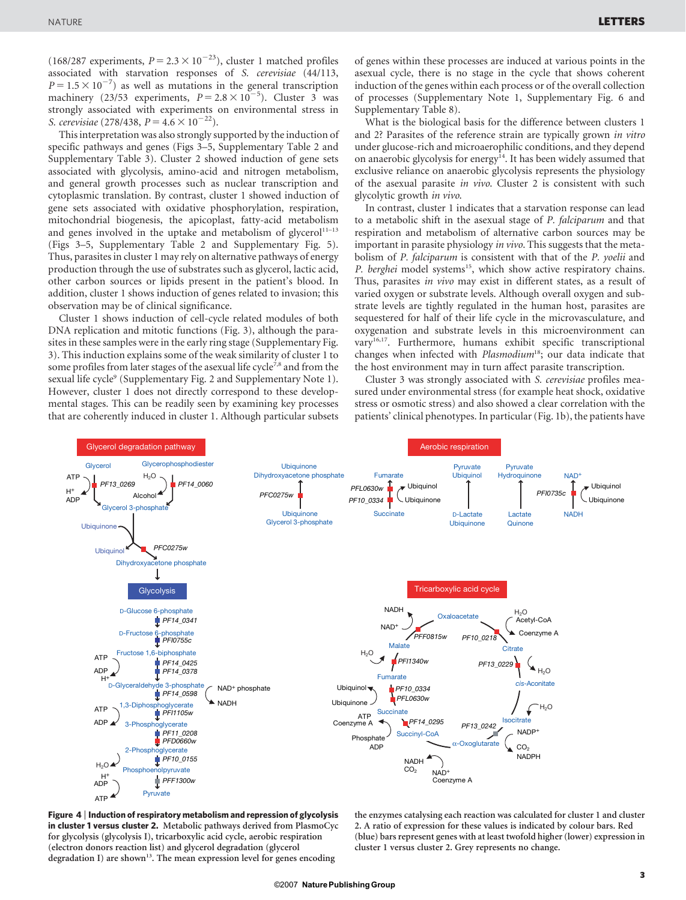(168/287 experiments,  $P = 2.3 \times 10^{-23}$ ), cluster 1 matched profiles associated with starvation responses of S. cerevisiae (44/113,  $P = 1.5 \times 10^{-7}$ ) as well as mutations in the general transcription machinery (23/53 experiments,  $P = 2.8 \times 10^{-5}$ ). Cluster 3 was strongly associated with experiments on environmental stress in S. cerevisiae (278/438,  $P = 4.6 \times 10^{-22}$ ).

This interpretation was also strongly supported by the induction of specific pathways and genes (Figs 3–5, Supplementary Table 2 and Supplementary Table 3). Cluster 2 showed induction of gene sets associated with glycolysis, amino-acid and nitrogen metabolism, and general growth processes such as nuclear transcription and cytoplasmic translation. By contrast, cluster 1 showed induction of gene sets associated with oxidative phosphorylation, respiration, mitochondrial biogenesis, the apicoplast, fatty-acid metabolism and genes involved in the uptake and metabolism of glycerol $11-13$ (Figs 3–5, Supplementary Table 2 and Supplementary Fig. 5). Thus, parasites in cluster 1 may rely on alternative pathways of energy production through the use of substrates such as glycerol, lactic acid, other carbon sources or lipids present in the patient's blood. In addition, cluster 1 shows induction of genes related to invasion; this observation may be of clinical significance.

Cluster 1 shows induction of cell-cycle related modules of both DNA replication and mitotic functions (Fig. 3), although the parasites in these samples were in the early ring stage (Supplementary Fig. 3). This induction explains some of the weak similarity of cluster 1 to some profiles from later stages of the asexual life cycle<sup>7,8</sup> and from the sexual life cycle<sup>9</sup> (Supplementary Fig. 2 and Supplementary Note 1). However, cluster 1 does not directly correspond to these developmental stages. This can be readily seen by examining key processes that are coherently induced in cluster 1. Although particular subsets of genes within these processes are induced at various points in the asexual cycle, there is no stage in the cycle that shows coherent induction of the genes within each process or of the overall collection of processes (Supplementary Note 1, Supplementary Fig. 6 and Supplementary Table 8).

What is the biological basis for the difference between clusters 1 and 2? Parasites of the reference strain are typically grown in vitro under glucose-rich and microaerophilic conditions, and they depend on anaerobic glycolysis for energy<sup>14</sup>. It has been widely assumed that exclusive reliance on anaerobic glycolysis represents the physiology of the asexual parasite in vivo. Cluster 2 is consistent with such glycolytic growth in vivo.

In contrast, cluster 1 indicates that a starvation response can lead to a metabolic shift in the asexual stage of P. falciparum and that respiration and metabolism of alternative carbon sources may be important in parasite physiology *in vivo*. This suggests that the metabolism of P. falciparum is consistent with that of the P. yoelii and P. berghei model systems<sup>15</sup>, which show active respiratory chains. Thus, parasites in vivo may exist in different states, as a result of varied oxygen or substrate levels. Although overall oxygen and substrate levels are tightly regulated in the human host, parasites are sequestered for half of their life cycle in the microvasculature, and oxygenation and substrate levels in this microenvironment can vary<sup>16,17</sup>. Furthermore, humans exhibit specific transcriptional changes when infected with *Plasmodium*<sup>18</sup>; our data indicate that the host environment may in turn affect parasite transcription.

Cluster 3 was strongly associated with S. cerevisiae profiles measured under environmental stress (for example heat shock, oxidative stress or osmotic stress) and also showed a clear correlation with the patients' clinical phenotypes. In particular (Fig. 1b), the patients have



Figure 4 <sup>|</sup> Induction of respiratory metabolism and repression of glycolysis in cluster 1 versus cluster 2. Metabolic pathways derived from PlasmoCyc for glycolysis (glycolysis I), tricarboxylic acid cycle, aerobic respiration (electron donors reaction list) and glycerol degradation (glycerol degradation I) are shown<sup>13</sup>. The mean expression level for genes encoding

the enzymes catalysing each reaction was calculated for cluster 1 and cluster 2. A ratio of expression for these values is indicated by colour bars. Red (blue) bars represent genes with at least twofold higher (lower) expression in cluster 1 versus cluster 2. Grey represents no change.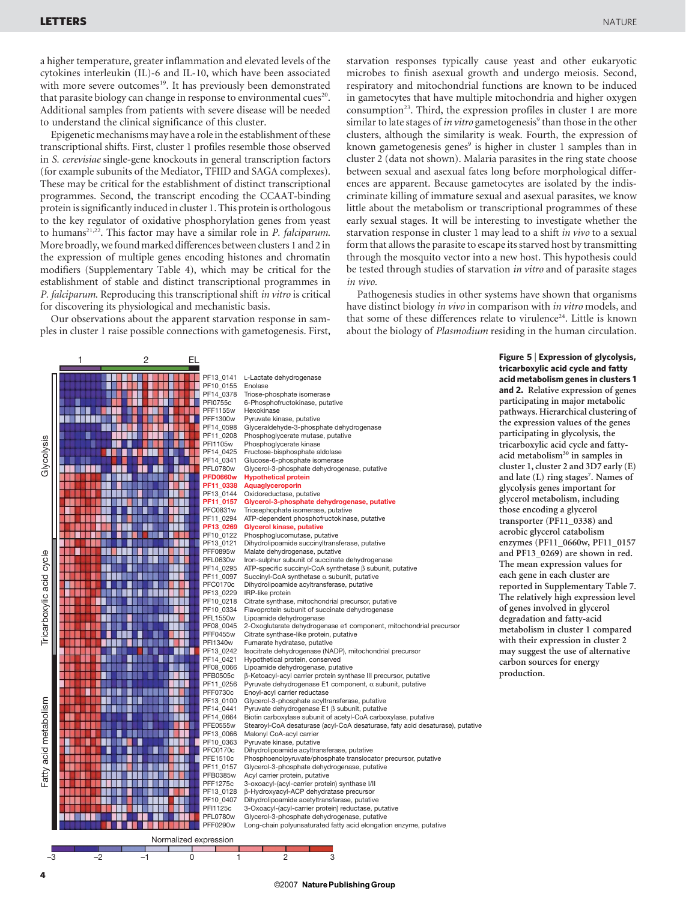a higher temperature, greater inflammation and elevated levels of the cytokines interleukin (IL)-6 and IL-10, which have been associated with more severe outcomes<sup>19</sup>. It has previously been demonstrated that parasite biology can change in response to environmental cues<sup>20</sup>. Additional samples from patients with severe disease will be needed to understand the clinical significance of this cluster.

Epigenetic mechanisms may have a role in the establishment of these transcriptional shifts. First, cluster 1 profiles resemble those observed in S. cerevisiae single-gene knockouts in general transcription factors (for example subunits of the Mediator, TFIID and SAGA complexes). These may be critical for the establishment of distinct transcriptional programmes. Second, the transcript encoding the CCAAT-binding protein is significantly induced in cluster 1. This protein is orthologous to the key regulator of oxidative phosphorylation genes from yeast to humans<sup>21,22</sup>. This factor may have a similar role in *P. falciparum*. More broadly, wefound marked differences between clusters 1 and 2 in the expression of multiple genes encoding histones and chromatin modifiers (Supplementary Table 4), which may be critical for the establishment of stable and distinct transcriptional programmes in P. falciparum. Reproducing this transcriptional shift in vitro is critical for discovering its physiological and mechanistic basis.

Our observations about the apparent starvation response in samples in cluster 1 raise possible connections with gametogenesis. First,

starvation responses typically cause yeast and other eukaryotic microbes to finish asexual growth and undergo meiosis. Second, respiratory and mitochondrial functions are known to be induced in gametocytes that have multiple mitochondria and higher oxygen consumption<sup>23</sup>. Third, the expression profiles in cluster 1 are more similar to late stages of *in vitro* gametogenesis<sup>9</sup> than those in the other clusters, although the similarity is weak. Fourth, the expression of known gametogenesis genes<sup>9</sup> is higher in cluster 1 samples than in cluster 2 (data not shown). Malaria parasites in the ring state choose between sexual and asexual fates long before morphological differences are apparent. Because gametocytes are isolated by the indiscriminate killing of immature sexual and asexual parasites, we know little about the metabolism or transcriptional programmes of these early sexual stages. It will be interesting to investigate whether the starvation response in cluster 1 may lead to a shift *in vivo* to a sexual form that allows the parasite to escape its starved host by transmitting through the mosquito vector into a new host. This hypothesis could be tested through studies of starvation in vitro and of parasite stages in vivo.

Pathogenesis studies in other systems have shown that organisms have distinct biology in vivo in comparison with in vitro models, and that some of these differences relate to virulence<sup>24</sup>. Little is known about the biology of Plasmodium residing in the human circulation.



#### ©2007 **NaturePublishingGroup**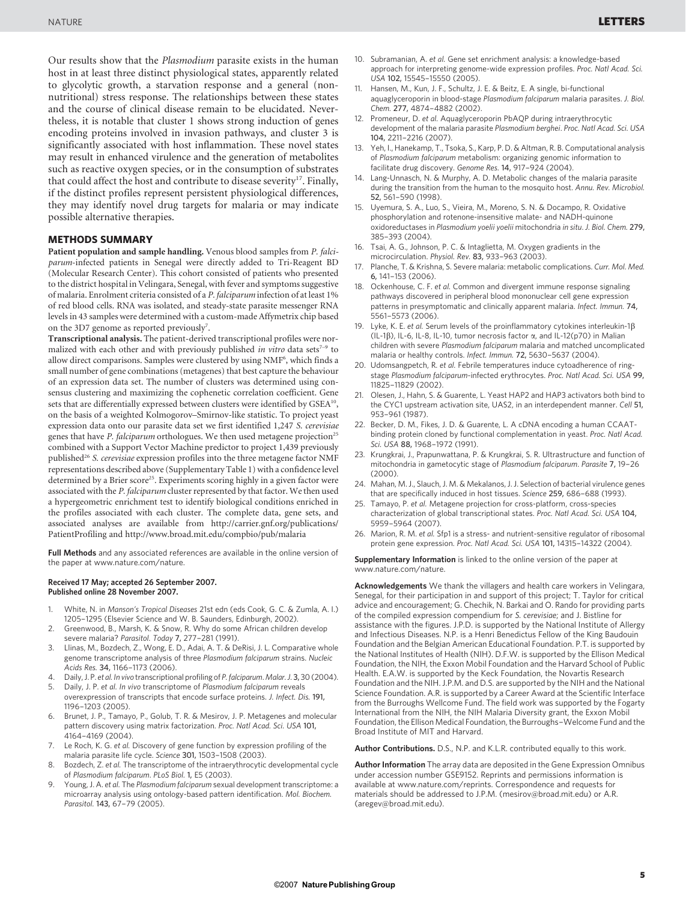Our results show that the Plasmodium parasite exists in the human host in at least three distinct physiological states, apparently related to glycolytic growth, a starvation response and a general (nonnutritional) stress response. The relationships between these states and the course of clinical disease remain to be elucidated. Nevertheless, it is notable that cluster 1 shows strong induction of genes encoding proteins involved in invasion pathways, and cluster 3 is significantly associated with host inflammation. These novel states may result in enhanced virulence and the generation of metabolites such as reactive oxygen species, or in the consumption of substrates that could affect the host and contribute to disease severity<sup>17</sup>. Finally, if the distinct profiles represent persistent physiological differences, they may identify novel drug targets for malaria or may indicate possible alternative therapies.

#### METHODS SUMMARY

Patient population and sample handling. Venous blood samples from P. falciparum-infected patients in Senegal were directly added to Tri-Reagent BD (Molecular Research Center). This cohort consisted of patients who presented to the district hospital in Velingara, Senegal, with fever and symptoms suggestive of malaria. Enrolment criteria consisted of a P. falciparum infection of at least 1% of red blood cells. RNA was isolated, and steady-state parasite messenger RNA levels in 43 samples were determined with a custom-made Affymetrix chip based on the 3D7 genome as reported previously<sup>7</sup>.

Transcriptional analysis. The patient-derived transcriptional profiles were normalized with each other and with previously published in vitro data sets<sup>7-9</sup> to allow direct comparisons. Samples were clustered by using NMF<sup>6</sup>, which finds a small number of gene combinations (metagenes) that best capture the behaviour of an expression data set. The number of clusters was determined using consensus clustering and maximizing the cophenetic correlation coefficient. Gene sets that are differentially expressed between clusters were identified by GSEA<sup>10</sup>, on the basis of a weighted Kolmogorov–Smirnov-like statistic. To project yeast expression data onto our parasite data set we first identified 1,247 S. cerevisiae genes that have P. falciparum orthologues. We then used metagene projection<sup>25</sup> combined with a Support Vector Machine predictor to project 1,439 previously published<sup>26</sup> S. cerevisiae expression profiles into the three metagene factor NMF representations described above (Supplementary Table 1) with a confidence level determined by a Brier score<sup>25</sup>. Experiments scoring highly in a given factor were associated with the P. falciparum cluster represented by that factor. We then used a hypergeometric enrichment test to identify biological conditions enriched in the profiles associated with each cluster. The complete data, gene sets, and associated analyses are available from [http://carrier.gnf.org/publications/](http://carrier.gnf.org/publications/PatientProfiling) [PatientProfiling](http://carrier.gnf.org/publications/PatientProfiling) and<http://www.broad.mit.edu/compbio/pub/malaria>

Full Methods and any associated references are available in the online version of the paper at<www.nature.com/nature>.

#### Received 17 May; accepted 26 September 2007. Published online 28 November 2007.

- 1. White, N. in Manson's Tropical Diseases 21st edn (eds Cook, G. C. & Zumla, A. I.) 1205–1295 (Elsevier Science and W. B. Saunders, Edinburgh, 2002).
- 2. Greenwood, B., Marsh, K. & Snow, R. Why do some African children develop severe malaria? Parasitol. Today 7, 277–281 (1991).
- 3. Llinas, M., Bozdech, Z., Wong, E. D., Adai, A. T. & DeRisi, J. L. Comparative whole genome transcriptome analysis of three Plasmodium falciparum strains. Nucleic Acids Res. 34, 1166–1173 (2006).
- Daily, J. P. et al. In vivo transcriptional profiling of P. falciparum. Malar. J. 3, 30 (2004).
- Daily, J. P. et al. In vivo transcriptome of Plasmodium falciparum reveals overexpression of transcripts that encode surface proteins. J. Infect. Dis. 191, 1196–1203 (2005).
- 6. Brunet, J. P., Tamayo, P., Golub, T. R. & Mesirov, J. P. Metagenes and molecular pattern discovery using matrix factorization. Proc. Natl Acad. Sci. USA 101, 4164–4169 (2004).
- 7. Le Roch, K. G. et al. Discovery of gene function by expression profiling of the malaria parasite life cycle. Science 301, 1503–1508 (2003).
- 8. Bozdech, Z. et al. The transcriptome of the intraerythrocytic developmental cycle of Plasmodium falciparum. PLoS Biol. 1, E5 (2003).
- 9. Young, J. A. et al. The Plasmodium falciparum sexual development transcriptome: a microarray analysis using ontology-based pattern identification. Mol. Biochem. Parasitol. 143, 67–79 (2005).
- 10. Subramanian, A. et al. Gene set enrichment analysis: a knowledge-based approach for interpreting genome-wide expression profiles. Proc. Natl Acad. Sci. USA 102, 15545–15550 (2005).
- 11. Hansen, M., Kun, J. F., Schultz, J. E. & Beitz, E. A single, bi-functional aquaglyceroporin in blood-stage Plasmodium falciparum malaria parasites. J. Biol. Chem. 277, 4874–4882 (2002).
- 12. Promeneur, D. et al. Aquaglyceroporin PbAQP during intraerythrocytic development of the malaria parasite Plasmodium berghei. Proc. Natl Acad. Sci. USA 104, 2211–2216 (2007).
- 13. Yeh, I., Hanekamp, T., Tsoka, S., Karp, P. D. & Altman, R. B. Computational analysis of Plasmodium falciparum metabolism: organizing genomic information to facilitate drug discovery. Genome Res. 14, 917–924 (2004).
- 14. Lang-Unnasch, N. & Murphy, A. D. Metabolic changes of the malaria parasite during the transition from the human to the mosquito host. Annu. Rev. Microbiol. 52, 561–590 (1998).
- 15. Uyemura, S. A., Luo, S., Vieira, M., Moreno, S. N. & Docampo, R. Oxidative phosphorylation and rotenone-insensitive malate- and NADH-quinone oxidoreductases in Plasmodium yoelii yoelii mitochondria in situ. J. Biol. Chem. 279, 385–393 (2004).
- 16. Tsai, A. G., Johnson, P. C. & Intaglietta, M. Oxygen gradients in the microcirculation. Physiol. Rev. 83, 933–963 (2003).
- Planche, T. & Krishna, S. Severe malaria: metabolic complications. Curr. Mol. Med. 6, 141–153 (2006).
- 18. Ockenhouse, C. F. et al. Common and divergent immune response signaling pathways discovered in peripheral blood mononuclear cell gene expression patterns in presymptomatic and clinically apparent malaria. Infect. Immun. 74, 5561–5573 (2006).
- 19. Lyke, K. E. et al. Serum levels of the proinflammatory cytokines interleukin-1 $\beta$ (IL-1 $\beta$ ), IL-6, IL-8, IL-10, tumor necrosis factor  $\alpha$ , and IL-12(p70) in Malian children with severe Plasmodium falciparum malaria and matched uncomplicated malaria or healthy controls. Infect. Immun. 72, 5630–5637 (2004).
- 20. Udomsangpetch, R. et al. Febrile temperatures induce cytoadherence of ringstage Plasmodium falciparum-infected erythrocytes. Proc. Natl Acad. Sci. USA 99, 11825–11829 (2002).
- 21. Olesen, J., Hahn, S. & Guarente, L. Yeast HAP2 and HAP3 activators both bind to the CYC1 upstream activation site, UAS2, in an interdependent manner. Cell 51, 953–961 (1987).
- 22. Becker, D. M., Fikes, J. D. & Guarente, L. A cDNA encoding a human CCAATbinding protein cloned by functional complementation in yeast. Proc. Natl Acad. Sci. USA 88, 1968–1972 (1991).
- 23. Krungkrai, J., Prapunwattana, P. & Krungkrai, S. R. Ultrastructure and function of mitochondria in gametocytic stage of Plasmodium falciparum. Parasite 7, 19–26 (2000).
- 24. Mahan, M. J., Slauch, J. M. & Mekalanos, J. J. Selection of bacterial virulence genes that are specifically induced in host tissues. Science 259, 686–688 (1993).
- 25. Tamayo, P. et al. Metagene projection for cross-platform, cross-species characterization of global transcriptional states. Proc. Natl Acad. Sci. USA 104, 5959–5964 (2007).
- 26. Marion, R. M. et al. Sfp1 is a stress- and nutrient-sensitive regulator of ribosomal protein gene expression. Proc. Natl Acad. Sci. USA 101, 14315–14322 (2004).

Supplementary Information is linked to the online version of the paper at <www.nature.com/nature>.

Acknowledgements We thank the villagers and health care workers in Velingara, Senegal, for their participation in and support of this project; T. Taylor for critical advice and encouragement; G. Chechik, N. Barkai and O. Rando for providing parts of the compiled expression compendium for S. cerevisiae; and J. Bistline for assistance with the figures. J.P.D. is supported by the National Institute of Allergy and Infectious Diseases. N.P. is a Henri Benedictus Fellow of the King Baudouin Foundation and the Belgian American Educational Foundation. P.T. is supported by the National Institutes of Health (NIH). D.F.W. is supported by the Ellison Medical Foundation, the NIH, the Exxon Mobil Foundation and the Harvard School of Public Health. E.A.W. is supported by the Keck Foundation, the Novartis Research Foundation and the NIH. J.P.M. and D.S. are supported by the NIH and the National Science Foundation. A.R. is supported by a Career Award at the Scientific Interface from the Burroughs Wellcome Fund. The field work was supported by the Fogarty International from the NIH, the NIH Malaria Diversity grant, the Exxon Mobil Foundation, the Ellison Medical Foundation, the Burroughs–Welcome Fund and the Broad Institute of MIT and Harvard.

Author Contributions. D.S., N.P. and K.L.R. contributed equally to this work.

Author Information The array data are deposited in the Gene Expression Omnibus under accession number GSE9152. Reprints and permissions information is available at [www.nature.com/reprints.](www.nature.com/reprints) Correspondence and requests for materials should be addressed to J.P.M. [\(mesirov@broad.mit.edu\)](mailto:mesirov@broad.mit.edu) or A.R. [\(aregev@broad.mit.edu\)](mailto:aregev@broad.mit.edu).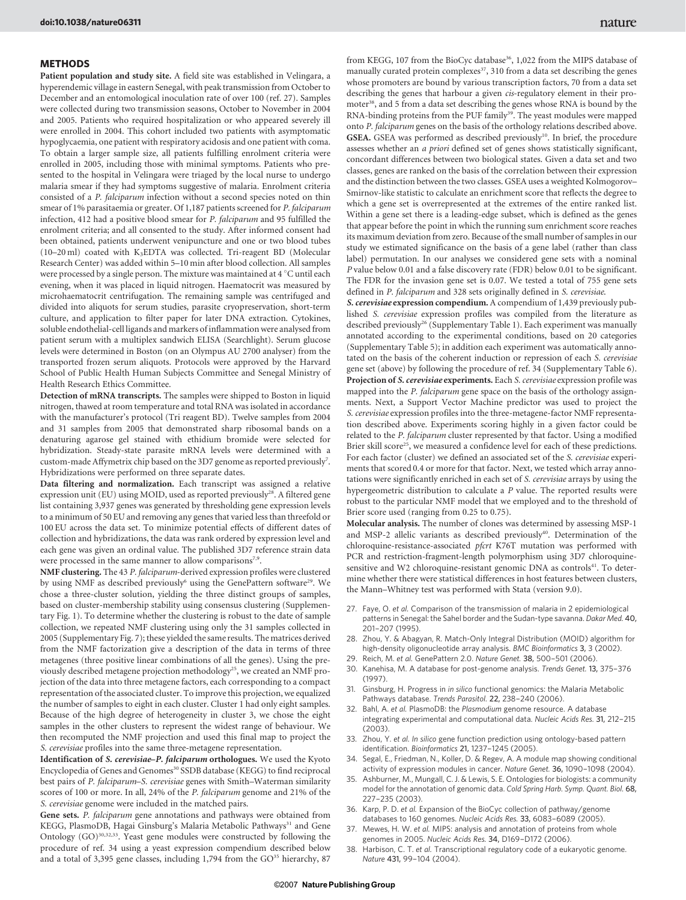### METHODS

Patient population and study site. A field site was established in Velingara, a hyperendemic village in eastern Senegal, with peak transmission from October to December and an entomological inoculation rate of over 100 (ref. 27). Samples were collected during two transmission seasons, October to November in 2004 and 2005. Patients who required hospitalization or who appeared severely ill were enrolled in 2004. This cohort included two patients with asymptomatic hypoglycaemia, one patient with respiratory acidosis and one patient with coma. To obtain a larger sample size, all patients fulfilling enrolment criteria were enrolled in 2005, including those with minimal symptoms. Patients who presented to the hospital in Velingara were triaged by the local nurse to undergo malaria smear if they had symptoms suggestive of malaria. Enrolment criteria consisted of a P. falciparum infection without a second species noted on thin smear of 1% parasitaemia or greater. Of 1,187 patients screened for P. falciparum infection, 412 had a positive blood smear for P. falciparum and 95 fulfilled the enrolment criteria; and all consented to the study. After informed consent had been obtained, patients underwent venipuncture and one or two blood tubes (10–20 ml) coated with K3EDTA was collected. Tri-reagent BD (Molecular Research Center) was added within 5–10 min after blood collection. All samples were processed by a single person. The mixture was maintained at 4 °C until each evening, when it was placed in liquid nitrogen. Haematocrit was measured by microhaematocrit centrifugation. The remaining sample was centrifuged and divided into aliquots for serum studies, parasite cryopreservation, short-term culture, and application to filter paper for later DNA extraction. Cytokines, soluble endothelial-cell ligands and markers of inflammation were analysed from patient serum with a multiplex sandwich ELISA (Searchlight). Serum glucose levels were determined in Boston (on an Olympus AU 2700 analyser) from the transported frozen serum aliquots. Protocols were approved by the Harvard School of Public Health Human Subjects Committee and Senegal Ministry of Health Research Ethics Committee.

Detection of mRNA transcripts. The samples were shipped to Boston in liquid nitrogen, thawed at room temperature and total RNA was isolated in accordance with the manufacturer's protocol (Tri reagent BD). Twelve samples from 2004 and 31 samples from 2005 that demonstrated sharp ribosomal bands on a denaturing agarose gel stained with ethidium bromide were selected for hybridization. Steady-state parasite mRNA levels were determined with a custom-made Affymetrix chip based on the 3D7 genome as reported previously<sup>7</sup>. Hybridizations were performed on three separate dates.

Data filtering and normalization. Each transcript was assigned a relative expression unit (EU) using MOID, used as reported previously<sup>28</sup>. A filtered gene list containing 3,937 genes was generated by thresholding gene expression levels to a minimum of 50 EU and removing any genes that varied less than threefold or 100 EU across the data set. To minimize potential effects of different dates of collection and hybridizations, the data was rank ordered by expression level and each gene was given an ordinal value. The published 3D7 reference strain data were processed in the same manner to allow comparisons<sup>7,9</sup>.

NMF clustering. The 43 P. falciparum-derived expression profiles were clustered by using NMF as described previously<sup>6</sup> using the GenePattern software<sup>29</sup>. We chose a three-cluster solution, yielding the three distinct groups of samples, based on cluster-membership stability using consensus clustering (Supplementary Fig. 1). To determine whether the clustering is robust to the date of sample collection, we repeated NMF clustering using only the 31 samples collected in 2005 (Supplementary Fig. 7); these yielded the same results. The matrices derived from the NMF factorization give a description of the data in terms of three metagenes (three positive linear combinations of all the genes). Using the previously described metagene projection methodology<sup>25</sup>, we created an NMF projection of the data into three metagene factors, each corresponding to a compact representation of the associated cluster. To improve this projection, we equalized the number of samples to eight in each cluster. Cluster 1 had only eight samples. Because of the high degree of heterogeneity in cluster 3, we chose the eight samples in the other clusters to represent the widest range of behaviour. We then recomputed the NMF projection and used this final map to project the S. cerevisiae profiles into the same three-metagene representation.

Identification of S. cerevisiae–P. falciparum orthologues. We used the Kyoto Encyclopedia of Genes and Genomes<sup>30</sup> SSDB database (KEGG) to find reciprocal best pairs of P. falciparum–S. cerevisiae genes with Smith–Waterman similarity scores of 100 or more. In all, 24% of the P. falciparum genome and 21% of the S. cerevisiae genome were included in the matched pairs.

Gene sets. P. falciparum gene annotations and pathways were obtained from KEGG, PlasmoDB, Hagai Ginsburg's Malaria Metabolic Pathways<sup>31</sup> and Gene Ontology (GO)<sup>30,32,33</sup>. Yeast gene modules were constructed by following the procedure of ref. 34 using a yeast expression compendium described below and a total of 3,395 gene classes, including 1,794 from the GO<sup>35</sup> hierarchy, 87

from KEGG, 107 from the BioCyc database<sup>36</sup>, 1,022 from the MIPS database of manually curated protein complexes<sup>37</sup>, 310 from a data set describing the genes whose promoters are bound by various transcription factors, 70 from a data set describing the genes that harbour a given cis-regulatory element in their promoter38, and 5 from a data set describing the genes whose RNA is bound by the RNA-binding proteins from the PUF family<sup>39</sup>. The yeast modules were mapped onto P. falciparum genes on the basis of the orthology relations described above. GSEA. GSEA was performed as described previously<sup>10</sup>. In brief, the procedure assesses whether an a priori defined set of genes shows statistically significant, concordant differences between two biological states. Given a data set and two classes, genes are ranked on the basis of the correlation between their expression and the distinction between the two classes. GSEA uses a weighted Kolmogorov– Smirnov-like statistic to calculate an enrichment score that reflects the degree to which a gene set is overrepresented at the extremes of the entire ranked list. Within a gene set there is a leading-edge subset, which is defined as the genes that appear before the point in which the running sum enrichment score reaches its maximum deviation from zero. Because of the small number of samples in our study we estimated significance on the basis of a gene label (rather than class label) permutation. In our analyses we considered gene sets with a nominal P value below 0.01 and a false discovery rate (FDR) below 0.01 to be significant. The FDR for the invasion gene set is 0.07. We tested a total of 755 gene sets defined in P. falciparum and 328 sets originally defined in S. cerevisiae.

S. cerevisiae expression compendium. A compendium of 1,439 previously published S. cerevisiae expression profiles was compiled from the literature as described previously<sup>26</sup> (Supplementary Table 1). Each experiment was manually annotated according to the experimental conditions, based on 20 categories (Supplementary Table 5); in addition each experiment was automatically annotated on the basis of the coherent induction or repression of each S. cerevisiae gene set (above) by following the procedure of ref. 34 (Supplementary Table 6). Projection of S. cerevisiae experiments. Each S. cerevisiae expression profile was mapped into the P. falciparum gene space on the basis of the orthology assignments. Next, a Support Vector Machine predictor was used to project the S. cerevisiae expression profiles into the three-metagene-factor NMF representation described above. Experiments scoring highly in a given factor could be related to the P. falciparum cluster represented by that factor. Using a modified Brier skill score<sup>25</sup>, we measured a confidence level for each of these predictions. For each factor (cluster) we defined an associated set of the S. cerevisiae experiments that scored 0.4 or more for that factor. Next, we tested which array annotations were significantly enriched in each set of S. cerevisiae arrays by using the hypergeometric distribution to calculate a P value. The reported results were robust to the particular NMF model that we employed and to the threshold of Brier score used (ranging from 0.25 to 0.75).

Molecular analysis. The number of clones was determined by assessing MSP-1 and MSP-2 allelic variants as described previously<sup>40</sup>. Determination of the chloroquine-resistance-associated pfcrt K76T mutation was performed with PCR and restriction-fragment-length polymorphism using 3D7 chloroquinesensitive and W2 chloroquine-resistant genomic DNA as controls<sup>41</sup>. To determine whether there were statistical differences in host features between clusters, the Mann–Whitney test was performed with Stata (version 9.0).

- 27. Faye, O. et al. Comparison of the transmission of malaria in 2 epidemiological patterns in Senegal: the Sahel border and the Sudan-type savanna. Dakar Med. 40, 201–207 (1995).
- 28. Zhou, Y. & Abagyan, R. Match-Only Integral Distribution (MOID) algorithm for high-density oligonucleotide array analysis. BMC Bioinformatics 3, 3 (2002).
- Reich, M. et al. GenePattern 2.0. Nature Genet. 38, 500-501 (2006).
- 30. Kanehisa, M. A database for post-genome analysis. Trends Genet. 13, 375–376 (1997).
- Ginsburg, H. Progress in in silico functional genomics: the Malaria Metabolic Pathways database. Trends Parasitol. 22, 238–240 (2006).
- 32. Bahl, A. et al. PlasmoDB: the Plasmodium genome resource. A database integrating experimental and computational data. Nucleic Acids Res. 31, 212–215 (2003).
- 33. Zhou, Y. et al. In silico gene function prediction using ontology-based pattern identification. Bioinformatics 21, 1237–1245 (2005).
- 34. Segal, E., Friedman, N., Koller, D. & Regev, A. A module map showing conditional activity of expression modules in cancer. Nature Genet. 36, 1090–1098 (2004).
- 35. Ashburner, M., Mungall, C. J. & Lewis, S. E. Ontologies for biologists: a community model for the annotation of genomic data. Cold Spring Harb. Symp. Quant. Biol. 68, 227–235 (2003).
- 36. Karp, P. D. et al. Expansion of the BioCyc collection of pathway/genome databases to 160 genomes. Nucleic Acids Res. 33, 6083–6089 (2005).
- 37. Mewes, H. W. et al. MIPS: analysis and annotation of proteins from whole genomes in 2005. Nucleic Acids Res. 34, D169–D172 (2006).
- Harbison, C. T. et al. Transcriptional regulatory code of a eukaryotic genome. Nature 431, 99–104 (2004).